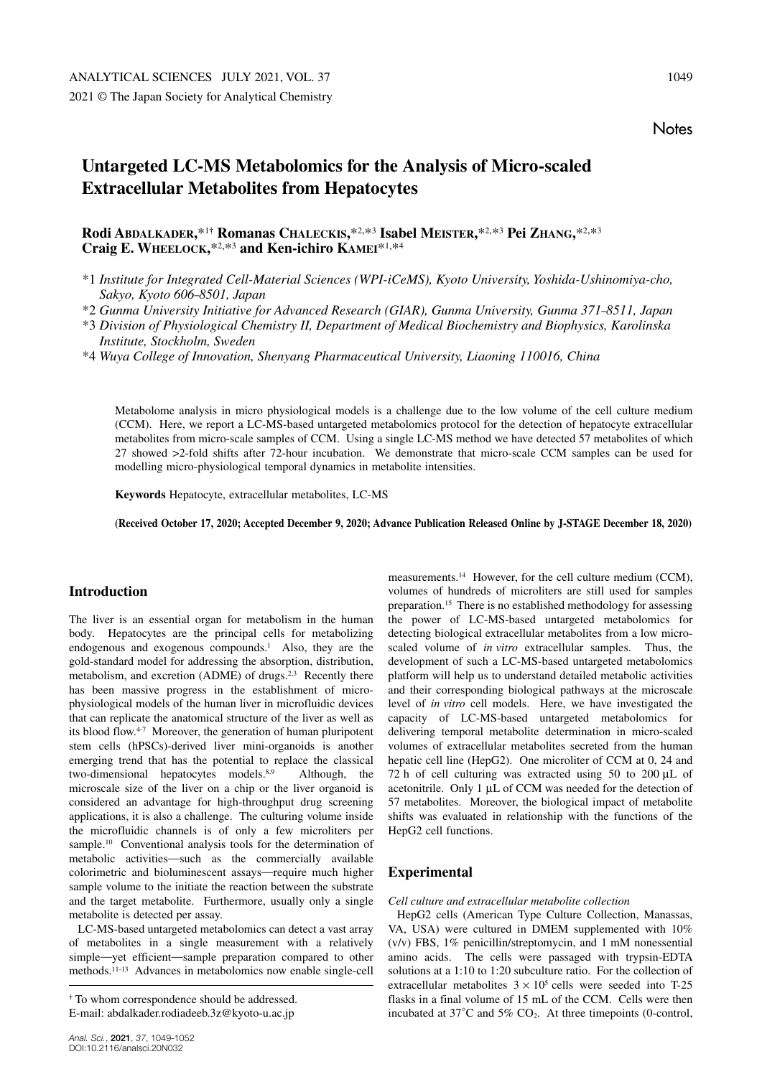# **Notes**

# **Untargeted LC-MS Metabolomics for the Analysis of Micro-scaled Extracellular Metabolites from Hepatocytes**

**Rodi ABDALKADER,**\*1**† Romanas CHALECKIS,**\*2, \*3 **Isabel MEISTER,**\*2, \*3 **Pei ZHANG,**\*2, \*3 **Craig E. WHEELOCK,**\*2, \*3 **and Ken-ichiro KAMEI**\*1, \*4

\*1 *Institute for Integrated Cell-Material Sciences (WPI-iCeMS), Kyoto University, Yoshida-Ushinomiya-cho, Sakyo, Kyoto 606–8501, Japan*

\*2 *Gunma University Initiative for Advanced Research (GIAR), Gunma University, Gunma 371–8511, Japan*

\*3 *Division of Physiological Chemistry II, Department of Medical Biochemistry and Biophysics, Karolinska Institute, Stockholm, Sweden*

\*4 *Wuya College of Innovation, Shenyang Pharmaceutical University, Liaoning 110016, China*

Metabolome analysis in micro physiological models is a challenge due to the low volume of the cell culture medium (CCM). Here, we report a LC-MS-based untargeted metabolomics protocol for the detection of hepatocyte extracellular metabolites from micro-scale samples of CCM. Using a single LC-MS method we have detected 57 metabolites of which 27 showed >2-fold shifts after 72-hour incubation. We demonstrate that micro-scale CCM samples can be used for modelling micro-physiological temporal dynamics in metabolite intensities.

**Keywords** Hepatocyte, extracellular metabolites, LC-MS

**(Received October 17, 2020; Accepted December 9, 2020; Advance Publication Released Online by J-STAGE December 18, 2020)**

### **Introduction**

The liver is an essential organ for metabolism in the human body. Hepatocytes are the principal cells for metabolizing endogenous and exogenous compounds.<sup>1</sup> Also, they are the gold-standard model for addressing the absorption, distribution, metabolism, and excretion (ADME) of drugs. $2.3$  Recently there has been massive progress in the establishment of microphysiological models of the human liver in microfluidic devices that can replicate the anatomical structure of the liver as well as its blood flow.4–7 Moreover, the generation of human pluripotent stem cells (hPSCs)-derived liver mini-organoids is another emerging trend that has the potential to replace the classical two-dimensional hepatocytes models.<sup>8,9</sup> Although, the microscale size of the liver on a chip or the liver organoid is considered an advantage for high-throughput drug screening applications, it is also a challenge. The culturing volume inside the microfluidic channels is of only a few microliters per sample.<sup>10</sup> Conventional analysis tools for the determination of metabolic activities—such as the commercially available colorimetric and bioluminescent assays—require much higher sample volume to the initiate the reaction between the substrate and the target metabolite. Furthermore, usually only a single metabolite is detected per assay.

LC-MS-based untargeted metabolomics can detect a vast array of metabolites in a single measurement with a relatively simple—yet efficient—sample preparation compared to other methods.11–13 Advances in metabolomics now enable single-cell

measurements.14 However, for the cell culture medium (CCM), volumes of hundreds of microliters are still used for samples preparation.15 There is no established methodology for assessing the power of LC-MS-based untargeted metabolomics for detecting biological extracellular metabolites from a low microscaled volume of *in vitro* extracellular samples. Thus, the development of such a LC-MS-based untargeted metabolomics platform will help us to understand detailed metabolic activities and their corresponding biological pathways at the microscale level of *in vitro* cell models. Here, we have investigated the capacity of LC-MS-based untargeted metabolomics for delivering temporal metabolite determination in micro-scaled volumes of extracellular metabolites secreted from the human hepatic cell line (HepG2). One microliter of CCM at 0, 24 and 72 h of cell culturing was extracted using 50 to 200 μL of acetonitrile. Only 1 μL of CCM was needed for the detection of 57 metabolites. Moreover, the biological impact of metabolite shifts was evaluated in relationship with the functions of the HepG2 cell functions.

## **Experimental**

*Cell culture and extracellular metabolite collection*

HepG2 cells (American Type Culture Collection, Manassas, VA, USA) were cultured in DMEM supplemented with 10% (v/v) FBS, 1% penicillin/streptomycin, and 1 mM nonessential amino acids. The cells were passaged with trypsin-EDTA solutions at a 1:10 to 1:20 subculture ratio. For the collection of extracellular metabolites  $3 \times 10^5$  cells were seeded into T-25 flasks in a final volume of 15 mL of the CCM. Cells were then incubated at  $37^{\circ}$ C and  $5\%$  CO<sub>2</sub>. At three timepoints (0-control,

**<sup>†</sup>** To whom correspondence should be addressed.

E-mail: abdalkader.rodiadeeb.3z@kyoto-u.ac.jp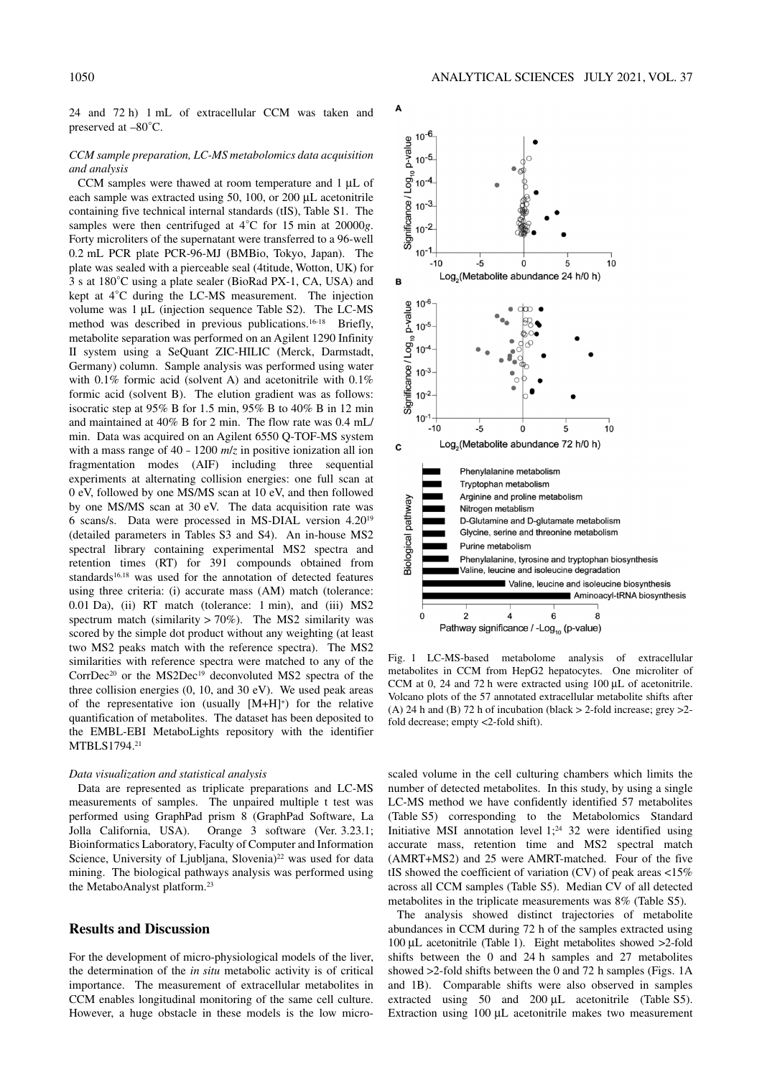#### *CCM sample preparation, LC-MS metabolomics data acquisition and analysis*

CCM samples were thawed at room temperature and 1 μL of each sample was extracted using 50, 100, or 200 μL acetonitrile containing five technical internal standards (tIS), Table S1. The samples were then centrifuged at 4°C for 15 min at 20000*g*. Forty microliters of the supernatant were transferred to a 96-well 0.2 mL PCR plate PCR-96-MJ (BMBio, Tokyo, Japan). The plate was sealed with a pierceable seal (4titude, Wotton, UK) for 3 s at 180°C using a plate sealer (BioRad PX-1, CA, USA) and kept at 4°C during the LC-MS measurement. The injection volume was 1 μL (injection sequence Table S2). The LC-MS method was described in previous publications.16–18 Briefly, metabolite separation was performed on an Agilent 1290 Infinity II system using a SeQuant ZIC-HILIC (Merck, Darmstadt, Germany) column. Sample analysis was performed using water with 0.1% formic acid (solvent A) and acetonitrile with 0.1% formic acid (solvent B). The elution gradient was as follows: isocratic step at 95% B for 1.5 min, 95% B to 40% B in 12 min and maintained at 40% B for 2 min. The flow rate was 0.4 mL/ min. Data was acquired on an Agilent 6550 Q-TOF-MS system with a mass range of 40 – 1200 *m*/*z* in positive ionization all ion fragmentation modes (AIF) including three sequential experiments at alternating collision energies: one full scan at 0 eV, followed by one MS/MS scan at 10 eV, and then followed by one MS/MS scan at 30 eV. The data acquisition rate was 6 scans/s. Data were processed in MS-DIAL version 4.2019 (detailed parameters in Tables S3 and S4). An in-house MS2 spectral library containing experimental MS2 spectra and retention times (RT) for 391 compounds obtained from standards<sup>16,18</sup> was used for the annotation of detected features using three criteria: (i) accurate mass (AM) match (tolerance: 0.01 Da), (ii) RT match (tolerance: 1 min), and (iii) MS2 spectrum match (similarity  $> 70\%$ ). The MS2 similarity was scored by the simple dot product without any weighting (at least two MS2 peaks match with the reference spectra). The MS2 similarities with reference spectra were matched to any of the CorrDec<sup>20</sup> or the MS2Dec<sup>19</sup> deconvoluted MS2 spectra of the three collision energies (0, 10, and 30 eV). We used peak areas of the representative ion (usually  $[M+H]^+$ ) for the relative quantification of metabolites. The dataset has been deposited to the EMBL-EBI MetaboLights repository with the identifier MTBLS1794.21

#### *Data visualization and statistical analysis*

Data are represented as triplicate preparations and LC-MS measurements of samples. The unpaired multiple t test was performed using GraphPad prism 8 (GraphPad Software, La Jolla California, USA). Orange 3 software (Ver. 3.23.1; Bioinformatics Laboratory, Faculty of Computer and Information Science, University of Ljubljana, Slovenia)<sup>22</sup> was used for data mining. The biological pathways analysis was performed using the MetaboAnalyst platform.23

#### **Results and Discussion**

For the development of micro-physiological models of the liver, the determination of the *in situ* metabolic activity is of critical importance. The measurement of extracellular metabolites in CCM enables longitudinal monitoring of the same cell culture. However, a huge obstacle in these models is the low micro-



Fig. 1 LC-MS-based metabolome analysis of extracellular metabolites in CCM from HepG2 hepatocytes. One microliter of CCM at 0, 24 and 72 h were extracted using 100 μL of acetonitrile. Volcano plots of the 57 annotated extracellular metabolite shifts after (A) 24 h and (B) 72 h of incubation (black  $>$  2-fold increase; grey  $>$ 2fold decrease; empty <2-fold shift).

scaled volume in the cell culturing chambers which limits the number of detected metabolites. In this study, by using a single LC-MS method we have confidently identified 57 metabolites (Table S5) corresponding to the Metabolomics Standard Initiative MSI annotation level  $1;^{24}$  32 were identified using accurate mass, retention time and MS2 spectral match (AMRT+MS2) and 25 were AMRT-matched. Four of the five tIS showed the coefficient of variation (CV) of peak areas  $\langle 15\%$ across all CCM samples (Table S5). Median CV of all detected metabolites in the triplicate measurements was 8% (Table S5).

The analysis showed distinct trajectories of metabolite abundances in CCM during 72 h of the samples extracted using 100 μL acetonitrile (Table 1). Eight metabolites showed >2-fold shifts between the 0 and 24 h samples and 27 metabolites showed >2-fold shifts between the 0 and 72 h samples (Figs. 1A and 1B). Comparable shifts were also observed in samples extracted using 50 and 200 μL acetonitrile (Table S5). Extraction using 100 μL acetonitrile makes two measurement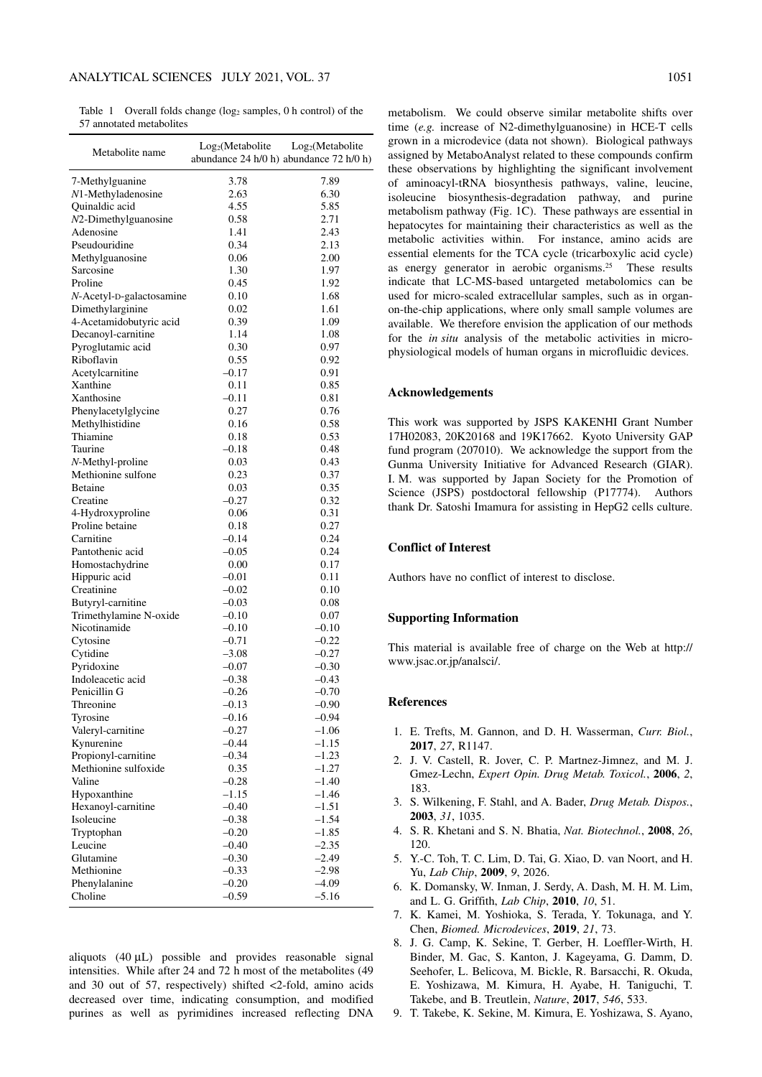Table 1 Overall folds change  $(\log_2$  samples, 0 h control) of the 57 annotated metabolites

| Metabolite name          | Log <sub>2</sub> (Metabolic)<br>abundance 24 h/0 h) abundance 72 h/0 h) | Log <sub>2</sub> (Metabolite |
|--------------------------|-------------------------------------------------------------------------|------------------------------|
| 7-Methylguanine          | 3.78                                                                    | 7.89                         |
| N1-Methyladenosine       | 2.63                                                                    | 6.30                         |
| Quinaldic acid           | 4.55                                                                    | 5.85                         |
| $N2$ -Dimethylguanosine  | 0.58                                                                    | 2.71                         |
| Adenosine                | 1.41                                                                    | 2.43                         |
| Pseudouridine            | 0.34                                                                    | 2.13                         |
| Methylguanosine          | 0.06                                                                    | 2.00                         |
| Sarcosine                | 1.30                                                                    | 1.97                         |
| Proline                  | 0.45                                                                    | 1.92                         |
| N-Acetyl-D-galactosamine | 0.10                                                                    | 1.68                         |
| Dimethylarginine         | 0.02                                                                    | 1.61                         |
| 4-Acetamidobutyric acid  | 0.39                                                                    | 1.09                         |
| Decanoyl-carnitine       | 1.14                                                                    | 1.08                         |
| Pyroglutamic acid        | 0.30                                                                    | 0.97                         |
| Riboflavin               | 0.55                                                                    | 0.92                         |
| Acetylcarnitine          | $-0.17$                                                                 | 0.91                         |
| Xanthine                 | 0.11                                                                    | 0.85                         |
| Xanthosine               | $-0.11$                                                                 | 0.81                         |
| Phenylacetylglycine      | 0.27                                                                    | 0.76                         |
| Methylhistidine          | 0.16                                                                    | 0.58                         |
| Thiamine                 | 0.18                                                                    | 0.53                         |
| Taurine                  | $-0.18$                                                                 | 0.48                         |
| N-Methyl-proline         | 0.03                                                                    | 0.43                         |
| Methionine sulfone       | 0.23                                                                    | 0.37                         |
| <b>Betaine</b>           | 0.03                                                                    | 0.35                         |
| Creatine                 | $-0.27$                                                                 | 0.32                         |
| 4-Hydroxyproline         | 0.06                                                                    | 0.31                         |
| Proline betaine          | 0.18                                                                    | 0.27                         |
| Carnitine                | $-0.14$                                                                 | 0.24                         |
| Pantothenic acid         | $-0.05$                                                                 | 0.24                         |
| Homostachydrine          | 0.00                                                                    | 0.17                         |
| Hippuric acid            | $-0.01$                                                                 | 0.11                         |
| Creatinine               | $-0.02$                                                                 | 0.10                         |
| Butyryl-carnitine        | $-0.03$                                                                 | 0.08                         |
| Trimethylamine N-oxide   | $-0.10$                                                                 | 0.07                         |
| Nicotinamide             | $-0.10$                                                                 | $-0.10$                      |
| Cytosine                 | $-0.71$                                                                 | $-0.22$                      |
| Cytidine                 | $-3.08$                                                                 | $-0.27$                      |
| Pyridoxine               | $-0.07$                                                                 | $-0.30$                      |
| Indoleacetic acid        | $-0.38$                                                                 | $-0.43$                      |
| Penicillin G             | $-0.26$                                                                 | $-0.70$                      |
| Threonine                | $-0.13$                                                                 | $-0.90$                      |
| Tyrosine                 | $-0.16$                                                                 | $-0.94$                      |
| Valeryl-carnitine        | $-0.27$                                                                 | $-1.06$                      |
| Kynurenine               | $-0.44$                                                                 | $-1.15$                      |
| Propionyl-carnitine      | $-0.34$                                                                 | $-1.23$                      |
| Methionine sulfoxide     | 0.35                                                                    | $-1.27$                      |
| Valine                   | $-0.28$                                                                 | $-1.40$                      |
| Hypoxanthine             | $-1.15$                                                                 | $-1.46$                      |
| Hexanoyl-carnitine       | $-0.40$                                                                 | $-1.51$                      |
| Isoleucine               | $-0.38$                                                                 | $-1.54$                      |
| Tryptophan               | $-0.20$                                                                 | $-1.85$                      |
| Leucine                  | $-0.40$                                                                 | $-2.35$                      |
| Glutamine                | $-0.30$                                                                 | $-2.49$                      |
| Methionine               | $-0.33$                                                                 | $-2.98$                      |
| Phenylalanine            | $-0.20$                                                                 | $-4.09$                      |
| Choline                  | $-0.59$                                                                 | $-5.16$                      |
|                          |                                                                         |                              |

aliquots (40 μL) possible and provides reasonable signal intensities. While after 24 and 72 h most of the metabolites (49 and 30 out of 57, respectively) shifted <2-fold, amino acids decreased over time, indicating consumption, and modified purines as well as pyrimidines increased reflecting DNA

metabolism. We could observe similar metabolite shifts over time (*e.g.* increase of N2-dimethylguanosine) in HCE-T cells grown in a microdevice (data not shown). Biological pathways assigned by MetaboAnalyst related to these compounds confirm these observations by highlighting the significant involvement of aminoacyl-tRNA biosynthesis pathways, valine, leucine, isoleucine biosynthesis-degradation pathway, and purine metabolism pathway (Fig. 1C). These pathways are essential in hepatocytes for maintaining their characteristics as well as the metabolic activities within. For instance, amino acids are essential elements for the TCA cycle (tricarboxylic acid cycle) as energy generator in aerobic organisms.25 These results indicate that LC-MS-based untargeted metabolomics can be used for micro-scaled extracellular samples, such as in organon-the-chip applications, where only small sample volumes are available. We therefore envision the application of our methods for the *in situ* analysis of the metabolic activities in microphysiological models of human organs in microfluidic devices.

#### **Acknowledgements**

This work was supported by JSPS KAKENHI Grant Number 17H02083, 20K20168 and 19K17662. Kyoto University GAP fund program (207010). We acknowledge the support from the Gunma University Initiative for Advanced Research (GIAR). I. M. was supported by Japan Society for the Promotion of Science (JSPS) postdoctoral fellowship (P17774). Authors thank Dr. Satoshi Imamura for assisting in HepG2 cells culture.

#### **Conflict of Interest**

Authors have no conflict of interest to disclose.

#### **Supporting Information**

This material is available free of charge on the Web at http:// www.jsac.or.jp/analsci/.

#### **References**

- 1. E. Trefts, M. Gannon, and D. H. Wasserman, *Curr. Biol.*, **2017**, *27*, R1147.
- 2. J. V. Castell, R. Jover, C. P. Martnez-Jimnez, and M. J. Gmez-Lechn, *Expert Opin. Drug Metab. Toxicol.*, **2006**, *2*, 183.
- 3. S. Wilkening, F. Stahl, and A. Bader, *Drug Metab. Dispos.*, **2003**, *31*, 1035.
- 4. S. R. Khetani and S. N. Bhatia, *Nat. Biotechnol.*, **2008**, *26*, 120.
- 5. Y.-C. Toh, T. C. Lim, D. Tai, G. Xiao, D. van Noort, and H. Yu, *Lab Chip*, **2009**, *9*, 2026.
- 6. K. Domansky, W. Inman, J. Serdy, A. Dash, M. H. M. Lim, and L. G. Griffith, *Lab Chip*, **2010**, *10*, 51.
- 7. K. Kamei, M. Yoshioka, S. Terada, Y. Tokunaga, and Y. Chen, *Biomed. Microdevices*, **2019**, *21*, 73.
- 8. J. G. Camp, K. Sekine, T. Gerber, H. Loeffler-Wirth, H. Binder, M. Gac, S. Kanton, J. Kageyama, G. Damm, D. Seehofer, L. Belicova, M. Bickle, R. Barsacchi, R. Okuda, E. Yoshizawa, M. Kimura, H. Ayabe, H. Taniguchi, T. Takebe, and B. Treutlein, *Nature*, **2017**, *546*, 533.
- 9. T. Takebe, K. Sekine, M. Kimura, E. Yoshizawa, S. Ayano,